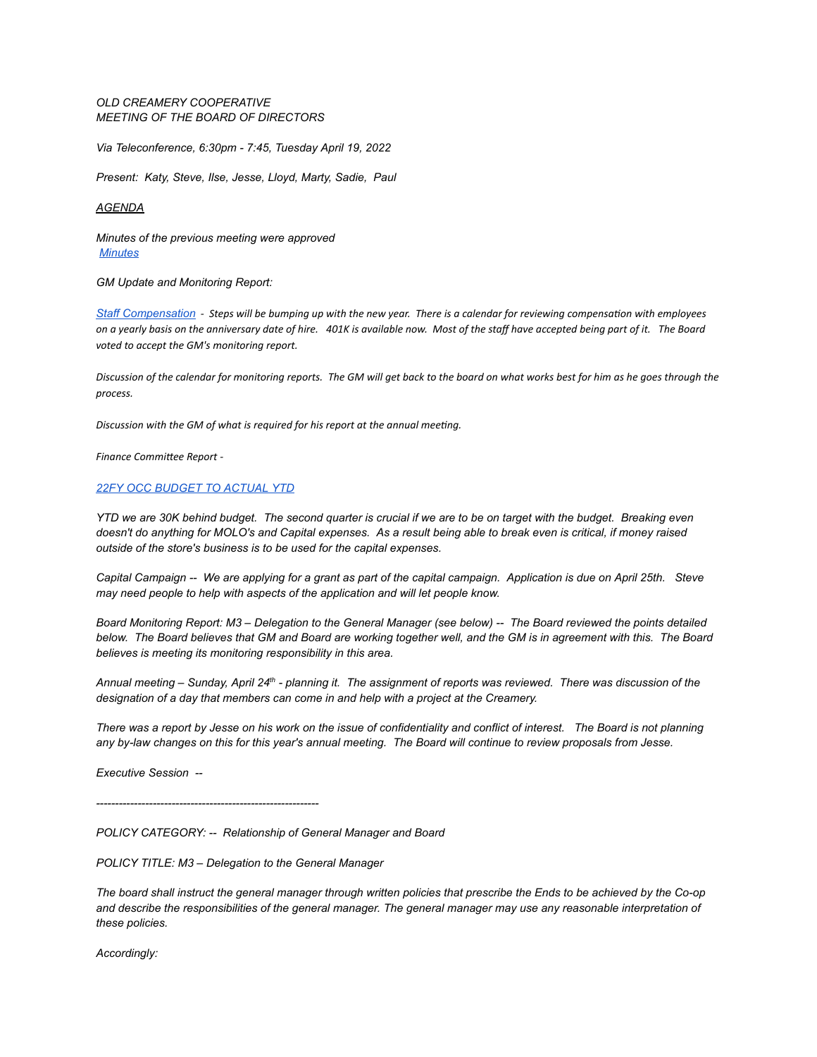## *OLD CREAMERY COOPERATIVE MEETING OF THE BOARD OF DIRECTORS*

*Via Teleconference, 6:30pm - 7:45, Tuesday April 19, 2022*

*Present: Katy, Steve, Ilse, Jesse, Lloyd, Marty, Sadie, Paul*

## *AGENDA*

*Minutes of the previous meeting were approved [Minutes](https://docs.google.com/document/d/1daRZzUbKX_iKZiL9PxDxQe3yT1jyX98AIgs8CvrDA9U/edit?usp=sharing)*

*GM Update and Monitoring Report:*

Staff [Compensation](https://docs.google.com/document/d/1C3ZQg4IttGIgGG92aEa2Q32S75QlqzmOssYyv3eEKng/edit?usp=sharing) - Steps will be bumping up with the new year. There is a calendar for reviewing compensation with employees on a yearly basis on the anniversary date of hire. 401K is available now. Most of the staff have accepted being part of it. The Board *voted to accept the GM's monitoring report.*

Discussion of the calendar for monitoring reports. The GM will get back to the board on what works best for him as he goes through the *process.*

*Discussion* with the GM of what is required for his report at the annual meeting.

 $F$ *inance Committee Report* -

## *22FY OCC [BUDGET](https://docs.google.com/spreadsheets/d/1bD6oOym1fFQUlgi4DQr_pKAF7qJIBXc1/edit?usp=sharing&ouid=114876880608019953102&rtpof=true&sd=true) TO ACTUAL YTD*

YTD we are 30K behind budget. The second quarter is crucial if we are to be on target with the budget. Breaking even doesn't do anything for MOLO's and Capital expenses. As a result being able to break even is critical, if money raised *outside of the store's business is to be used for the capital expenses.*

Capital Campaign -- We are applying for a grant as part of the capital campaign. Application is due on April 25th. Steve *may need people to help with aspects of the application and will let people know.*

Board Monitoring Report: M3 - Delegation to the General Manager (see below) -- The Board reviewed the points detailed below. The Board believes that GM and Board are working together well, and the GM is in agreement with this. The Board *believes is meeting its monitoring responsibility in this area.*

Annual meeting – Sunday, April 24<sup>th</sup> - planning it. The assignment of reports was reviewed. There was discussion of the *designation of a day that members can come in and help with a project at the Creamery.*

There was a report by Jesse on his work on the issue of confidentiality and conflict of interest. The Board is not planning any by-law changes on this for this year's annual meeting. The Board will continue to review proposals from Jesse.

*Executive Session --*

*-----------------------------------------------------------*

*POLICY CATEGORY: -- Relationship of General Manager and Board*

*POLICY TITLE: M3 – Delegation to the General Manager*

The board shall instruct the general manager through written policies that prescribe the Ends to be achieved by the Co-op and describe the responsibilities of the general manager. The general manager may use any reasonable interpretation of *these policies.*

*Accordingly:*